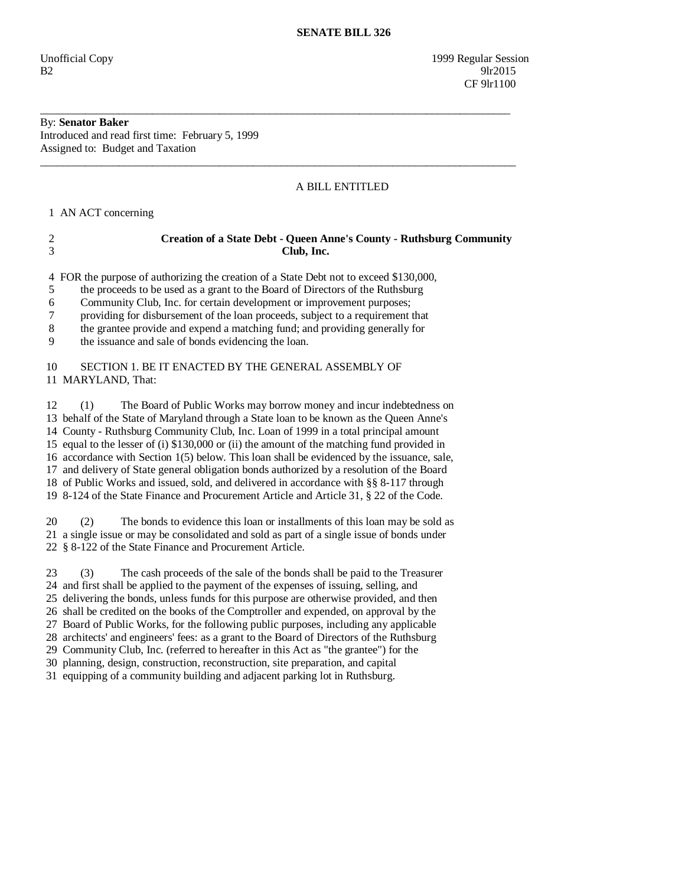Unofficial Copy 1999 Regular Session  $B2$  9lr2015 CF 9lr1100

# By: **Senator Baker**

Introduced and read first time: February 5, 1999 Assigned to: Budget and Taxation

## A BILL ENTITLED

1 AN ACT concerning

### 2 **Creation of a State Debt - Queen Anne's County - Ruthsburg Community**  3 **Club, Inc.**

4 FOR the purpose of authorizing the creation of a State Debt not to exceed \$130,000,

\_\_\_\_\_\_\_\_\_\_\_\_\_\_\_\_\_\_\_\_\_\_\_\_\_\_\_\_\_\_\_\_\_\_\_\_\_\_\_\_\_\_\_\_\_\_\_\_\_\_\_\_\_\_\_\_\_\_\_\_\_\_\_\_\_\_\_\_\_\_\_\_\_\_\_\_\_\_\_\_\_\_\_\_

\_\_\_\_\_\_\_\_\_\_\_\_\_\_\_\_\_\_\_\_\_\_\_\_\_\_\_\_\_\_\_\_\_\_\_\_\_\_\_\_\_\_\_\_\_\_\_\_\_\_\_\_\_\_\_\_\_\_\_\_\_\_\_\_\_\_\_\_\_\_\_\_\_\_\_\_\_\_\_\_\_\_\_\_\_

5 the proceeds to be used as a grant to the Board of Directors of the Ruthsburg

6 Community Club, Inc. for certain development or improvement purposes;

7 providing for disbursement of the loan proceeds, subject to a requirement that

8 the grantee provide and expend a matching fund; and providing generally for

9 the issuance and sale of bonds evidencing the loan.

#### 10 SECTION 1. BE IT ENACTED BY THE GENERAL ASSEMBLY OF 11 MARYLAND, That:

 12 (1) The Board of Public Works may borrow money and incur indebtedness on 13 behalf of the State of Maryland through a State loan to be known as the Queen Anne's 14 County - Ruthsburg Community Club, Inc. Loan of 1999 in a total principal amount 15 equal to the lesser of (i) \$130,000 or (ii) the amount of the matching fund provided in 16 accordance with Section 1(5) below. This loan shall be evidenced by the issuance, sale, 17 and delivery of State general obligation bonds authorized by a resolution of the Board 18 of Public Works and issued, sold, and delivered in accordance with §§ 8-117 through 19 8-124 of the State Finance and Procurement Article and Article 31, § 22 of the Code.

 20 (2) The bonds to evidence this loan or installments of this loan may be sold as 21 a single issue or may be consolidated and sold as part of a single issue of bonds under 22 § 8-122 of the State Finance and Procurement Article.

 23 (3) The cash proceeds of the sale of the bonds shall be paid to the Treasurer 24 and first shall be applied to the payment of the expenses of issuing, selling, and 25 delivering the bonds, unless funds for this purpose are otherwise provided, and then 26 shall be credited on the books of the Comptroller and expended, on approval by the 27 Board of Public Works, for the following public purposes, including any applicable 28 architects' and engineers' fees: as a grant to the Board of Directors of the Ruthsburg 29 Community Club, Inc. (referred to hereafter in this Act as "the grantee") for the 30 planning, design, construction, reconstruction, site preparation, and capital

31 equipping of a community building and adjacent parking lot in Ruthsburg.